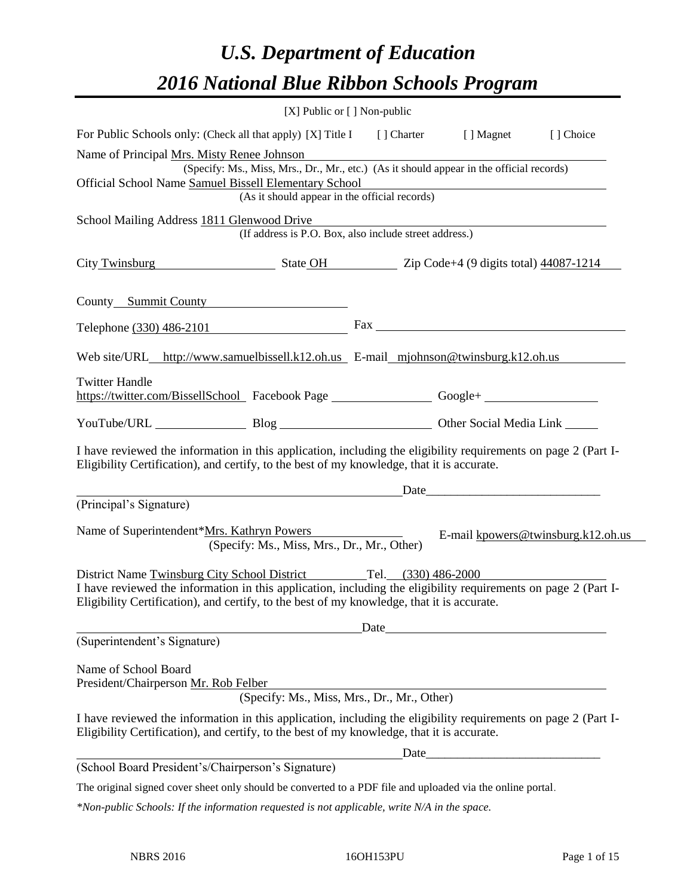# *U.S. Department of Education 2016 National Blue Ribbon Schools Program*

| [X] Public or $[$ ] Non-public                                                                                                                                                                               |  |                                    |
|--------------------------------------------------------------------------------------------------------------------------------------------------------------------------------------------------------------|--|------------------------------------|
| For Public Schools only: (Check all that apply) [X] Title I [] Charter [] Magnet [] Choice                                                                                                                   |  |                                    |
| Name of Principal Mrs. Misty Renee Johnson                                                                                                                                                                   |  |                                    |
| (Specify: Ms., Miss, Mrs., Dr., Mr., etc.) (As it should appear in the official records)                                                                                                                     |  |                                    |
| Official School Name Samuel Bissell Elementary School<br>(As it should appear in the official records)                                                                                                       |  |                                    |
|                                                                                                                                                                                                              |  |                                    |
| School Mailing Address 1811 Glenwood Drive<br>(If address is P.O. Box, also include street address.)                                                                                                         |  |                                    |
| City Twinsburg State OH Zip Code+4 (9 digits total) 44087-1214                                                                                                                                               |  |                                    |
| County Summit County                                                                                                                                                                                         |  |                                    |
| Telephone (330) 486-2101                                                                                                                                                                                     |  |                                    |
| Web site/URL_http://www.samuelbissell.k12.oh.us_E-mail_mjohnson@twinsburg.k12.oh.us                                                                                                                          |  |                                    |
| <b>Twitter Handle</b><br>https://twitter.com/BissellSchool Facebook Page Google+                                                                                                                             |  |                                    |
| YouTube/URL Blog Blog Other Social Media Link                                                                                                                                                                |  |                                    |
| I have reviewed the information in this application, including the eligibility requirements on page 2 (Part I-<br>Eligibility Certification), and certify, to the best of my knowledge, that it is accurate. |  |                                    |
|                                                                                                                                                                                                              |  |                                    |
| (Principal's Signature)                                                                                                                                                                                      |  |                                    |
| Name of Superintendent*Mrs. Kathryn Powers<br>(Specify: Ms., Miss, Mrs., Dr., Mr., Other)                                                                                                                    |  | E-mail kpowers@twinsburg.k12.oh.us |
| District Name Twinsburg City School District Tel. (330) 486-2000                                                                                                                                             |  |                                    |
| I have reviewed the information in this application, including the eligibility requirements on page 2 (Part I-<br>Eligibility Certification), and certify, to the best of my knowledge, that it is accurate. |  |                                    |
|                                                                                                                                                                                                              |  |                                    |
| (Superintendent's Signature)                                                                                                                                                                                 |  |                                    |
| Name of School Board<br>President/Chairperson Mr. Rob Felber                                                                                                                                                 |  |                                    |
| (Specify: Ms., Miss, Mrs., Dr., Mr., Other)                                                                                                                                                                  |  |                                    |
| I have reviewed the information in this application, including the eligibility requirements on page 2 (Part I-<br>Eligibility Certification), and certify, to the best of my knowledge, that it is accurate. |  |                                    |
|                                                                                                                                                                                                              |  |                                    |
| (School Board President's/Chairperson's Signature)                                                                                                                                                           |  |                                    |
| The original signed cover sheet only should be converted to a PDF file and uploaded via the online portal.                                                                                                   |  |                                    |

*\*Non-public Schools: If the information requested is not applicable, write N/A in the space.*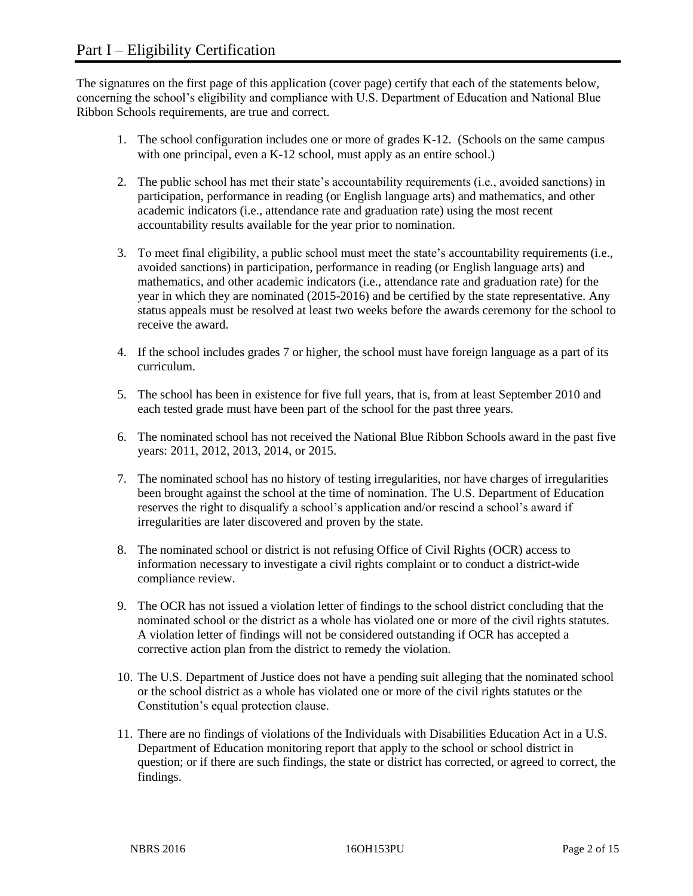The signatures on the first page of this application (cover page) certify that each of the statements below, concerning the school's eligibility and compliance with U.S. Department of Education and National Blue Ribbon Schools requirements, are true and correct.

- 1. The school configuration includes one or more of grades K-12. (Schools on the same campus with one principal, even a K-12 school, must apply as an entire school.)
- 2. The public school has met their state's accountability requirements (i.e., avoided sanctions) in participation, performance in reading (or English language arts) and mathematics, and other academic indicators (i.e., attendance rate and graduation rate) using the most recent accountability results available for the year prior to nomination.
- 3. To meet final eligibility, a public school must meet the state's accountability requirements (i.e., avoided sanctions) in participation, performance in reading (or English language arts) and mathematics, and other academic indicators (i.e., attendance rate and graduation rate) for the year in which they are nominated (2015-2016) and be certified by the state representative. Any status appeals must be resolved at least two weeks before the awards ceremony for the school to receive the award.
- 4. If the school includes grades 7 or higher, the school must have foreign language as a part of its curriculum.
- 5. The school has been in existence for five full years, that is, from at least September 2010 and each tested grade must have been part of the school for the past three years.
- 6. The nominated school has not received the National Blue Ribbon Schools award in the past five years: 2011, 2012, 2013, 2014, or 2015.
- 7. The nominated school has no history of testing irregularities, nor have charges of irregularities been brought against the school at the time of nomination. The U.S. Department of Education reserves the right to disqualify a school's application and/or rescind a school's award if irregularities are later discovered and proven by the state.
- 8. The nominated school or district is not refusing Office of Civil Rights (OCR) access to information necessary to investigate a civil rights complaint or to conduct a district-wide compliance review.
- 9. The OCR has not issued a violation letter of findings to the school district concluding that the nominated school or the district as a whole has violated one or more of the civil rights statutes. A violation letter of findings will not be considered outstanding if OCR has accepted a corrective action plan from the district to remedy the violation.
- 10. The U.S. Department of Justice does not have a pending suit alleging that the nominated school or the school district as a whole has violated one or more of the civil rights statutes or the Constitution's equal protection clause.
- 11. There are no findings of violations of the Individuals with Disabilities Education Act in a U.S. Department of Education monitoring report that apply to the school or school district in question; or if there are such findings, the state or district has corrected, or agreed to correct, the findings.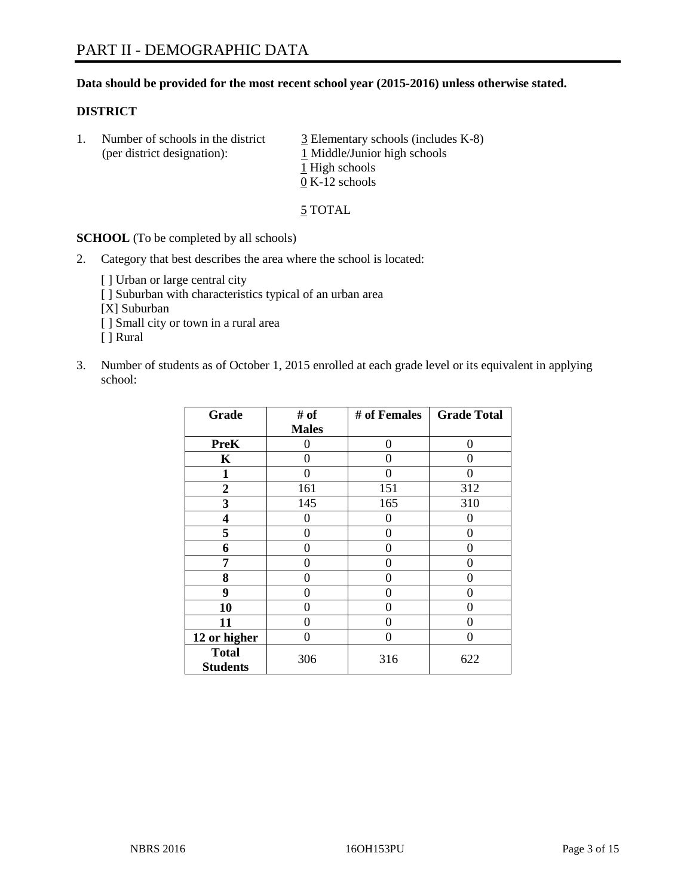# **Data should be provided for the most recent school year (2015-2016) unless otherwise stated.**

#### **DISTRICT**

1. Number of schools in the district  $\frac{3}{2}$  Elementary schools (includes K-8) (per district designation):  $\frac{1 \text{ Middle/Junior high schools}}{}$ 1 High schools 0 K-12 schools

5 TOTAL

**SCHOOL** (To be completed by all schools)

- 2. Category that best describes the area where the school is located:
	- [] Urban or large central city [ ] Suburban with characteristics typical of an urban area [X] Suburban [ ] Small city or town in a rural area [ ] Rural
- 3. Number of students as of October 1, 2015 enrolled at each grade level or its equivalent in applying school:

| Grade                           | # of         | # of Females | <b>Grade Total</b> |
|---------------------------------|--------------|--------------|--------------------|
|                                 | <b>Males</b> |              |                    |
| <b>PreK</b>                     | 0            | 0            | 0                  |
| K                               | 0            | 0            | 0                  |
| 1                               | 0            | 0            | $\Omega$           |
| 2                               | 161          | 151          | 312                |
| 3                               | 145          | 165          | 310                |
| 4                               | 0            | 0            | $\Omega$           |
| 5                               | 0            | 0            | 0                  |
| 6                               | 0            | 0            | $\Omega$           |
| 7                               | 0            | 0            | $\left( \right)$   |
| 8                               | 0            | 0            | $\Omega$           |
| 9                               | 0            | 0            | $\Omega$           |
| 10                              | 0            | 0            | 0                  |
| 11                              | 0            | 0            | $\left( \right)$   |
| 12 or higher                    | 0            | 0            | $\Omega$           |
| <b>Total</b><br><b>Students</b> | 306          | 316          | 622                |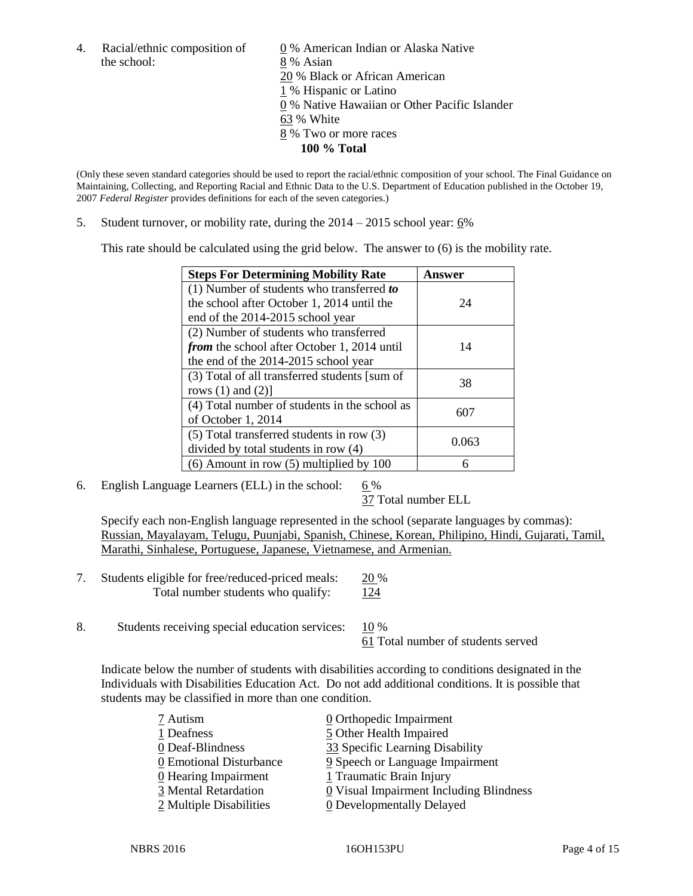the school: 8 % Asian

4. Racial/ethnic composition of  $\underline{0}$  % American Indian or Alaska Native 20 % Black or African American 1 % Hispanic or Latino 0 % Native Hawaiian or Other Pacific Islander 63 % White 8 % Two or more races **100 % Total**

(Only these seven standard categories should be used to report the racial/ethnic composition of your school. The Final Guidance on Maintaining, Collecting, and Reporting Racial and Ethnic Data to the U.S. Department of Education published in the October 19, 2007 *Federal Register* provides definitions for each of the seven categories.)

5. Student turnover, or mobility rate, during the  $2014 - 2015$  school year:  $6\%$ 

This rate should be calculated using the grid below. The answer to (6) is the mobility rate.

| <b>Steps For Determining Mobility Rate</b>         | Answer |  |
|----------------------------------------------------|--------|--|
| $(1)$ Number of students who transferred to        |        |  |
| the school after October 1, 2014 until the         | 24     |  |
| end of the 2014-2015 school year                   |        |  |
| (2) Number of students who transferred             |        |  |
| <i>from</i> the school after October 1, 2014 until | 14     |  |
| the end of the 2014-2015 school year               |        |  |
| (3) Total of all transferred students [sum of      | 38     |  |
| rows $(1)$ and $(2)$ ]                             |        |  |
| (4) Total number of students in the school as      | 607    |  |
| of October 1, 2014                                 |        |  |
| (5) Total transferred students in row (3)          | 0.063  |  |
| divided by total students in row (4)               |        |  |
| $(6)$ Amount in row $(5)$ multiplied by 100        | 6      |  |

6. English Language Learners (ELL) in the school:  $6\%$ 

37 Total number ELL

Specify each non-English language represented in the school (separate languages by commas): Russian, Mayalayam, Telugu, Puunjabi, Spanish, Chinese, Korean, Philipino, Hindi, Gujarati, Tamil, Marathi, Sinhalese, Portuguese, Japanese, Vietnamese, and Armenian.

- 7. Students eligible for free/reduced-priced meals: 20 % Total number students who qualify: 124
- 8. Students receiving special education services: 10 %

61 Total number of students served

Indicate below the number of students with disabilities according to conditions designated in the Individuals with Disabilities Education Act. Do not add additional conditions. It is possible that students may be classified in more than one condition.

| 7 Autism                | $\underline{0}$ Orthopedic Impairment                 |
|-------------------------|-------------------------------------------------------|
| 1 Deafness              | 5 Other Health Impaired                               |
| 0 Deaf-Blindness        | 33 Specific Learning Disability                       |
| 0 Emotional Disturbance | 9 Speech or Language Impairment                       |
| 0 Hearing Impairment    | 1 Traumatic Brain Injury                              |
| 3 Mental Retardation    | $\underline{0}$ Visual Impairment Including Blindness |
| 2 Multiple Disabilities | <b>0</b> Developmentally Delayed                      |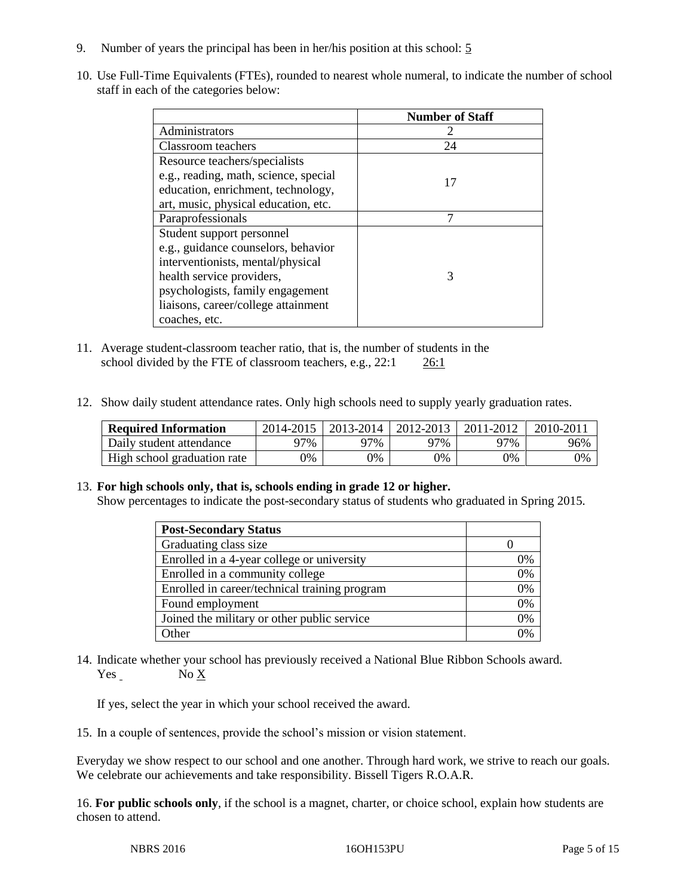- 9. Number of years the principal has been in her/his position at this school: 5
- 10. Use Full-Time Equivalents (FTEs), rounded to nearest whole numeral, to indicate the number of school staff in each of the categories below:

|                                       | <b>Number of Staff</b> |
|---------------------------------------|------------------------|
| Administrators                        |                        |
| Classroom teachers                    | 24                     |
| Resource teachers/specialists         |                        |
| e.g., reading, math, science, special | 17                     |
| education, enrichment, technology,    |                        |
| art, music, physical education, etc.  |                        |
| Paraprofessionals                     | ⇁                      |
| Student support personnel             |                        |
| e.g., guidance counselors, behavior   |                        |
| interventionists, mental/physical     |                        |
| health service providers,             | 3                      |
| psychologists, family engagement      |                        |
| liaisons, career/college attainment   |                        |
| coaches, etc.                         |                        |

- 11. Average student-classroom teacher ratio, that is, the number of students in the school divided by the FTE of classroom teachers, e.g., 22:1 26:1
- 12. Show daily student attendance rates. Only high schools need to supply yearly graduation rates.

| <b>Required Information</b> | 2014-2015 | $2013 - 2014$ | 2012-2013 | 2011-2012 | $2010 - 201$ |
|-----------------------------|-----------|---------------|-----------|-----------|--------------|
| Daily student attendance    | 77%       | 97%           | 97%       | 97%       | 96%          |
| High school graduation rate | 0%        | $\gamma\%$    | 9%        | 9%        | 0%           |

# 13. **For high schools only, that is, schools ending in grade 12 or higher.**

Show percentages to indicate the post-secondary status of students who graduated in Spring 2015.

| <b>Post-Secondary Status</b>                  |    |
|-----------------------------------------------|----|
| Graduating class size                         |    |
| Enrolled in a 4-year college or university    | 0% |
| Enrolled in a community college               | 0% |
| Enrolled in career/technical training program | 0% |
| Found employment                              | 0% |
| Joined the military or other public service   | 0% |
| Other                                         | በ% |

14. Indicate whether your school has previously received a National Blue Ribbon Schools award. Yes No X

If yes, select the year in which your school received the award.

15. In a couple of sentences, provide the school's mission or vision statement.

Everyday we show respect to our school and one another. Through hard work, we strive to reach our goals. We celebrate our achievements and take responsibility. Bissell Tigers R.O.A.R.

16. **For public schools only**, if the school is a magnet, charter, or choice school, explain how students are chosen to attend.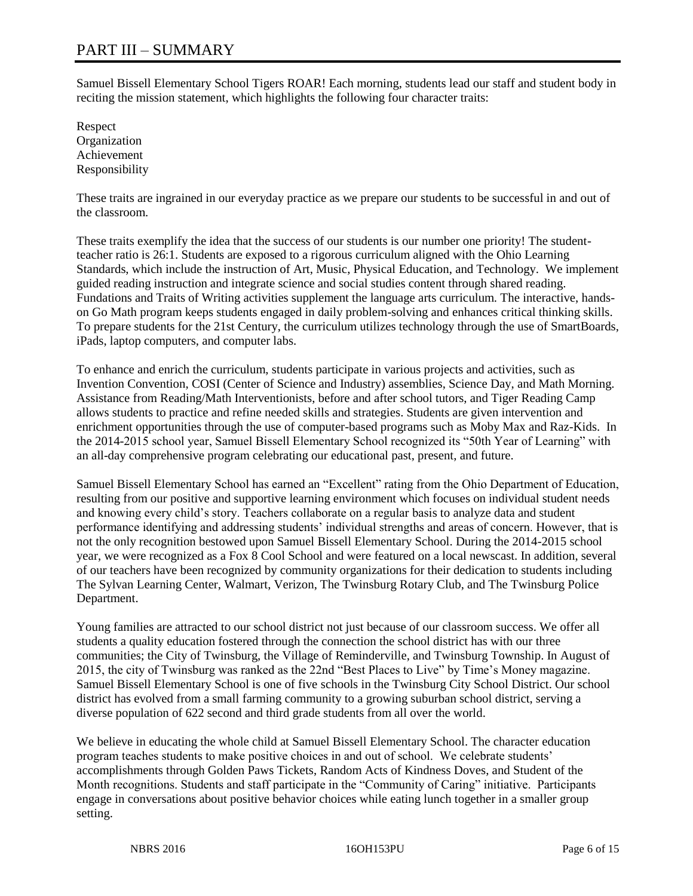# PART III – SUMMARY

Samuel Bissell Elementary School Tigers ROAR! Each morning, students lead our staff and student body in reciting the mission statement, which highlights the following four character traits:

Respect **Organization** Achievement Responsibility

These traits are ingrained in our everyday practice as we prepare our students to be successful in and out of the classroom.

These traits exemplify the idea that the success of our students is our number one priority! The studentteacher ratio is 26:1. Students are exposed to a rigorous curriculum aligned with the Ohio Learning Standards, which include the instruction of Art, Music, Physical Education, and Technology. We implement guided reading instruction and integrate science and social studies content through shared reading. Fundations and Traits of Writing activities supplement the language arts curriculum. The interactive, handson Go Math program keeps students engaged in daily problem-solving and enhances critical thinking skills. To prepare students for the 21st Century, the curriculum utilizes technology through the use of SmartBoards, iPads, laptop computers, and computer labs.

To enhance and enrich the curriculum, students participate in various projects and activities, such as Invention Convention, COSI (Center of Science and Industry) assemblies, Science Day, and Math Morning. Assistance from Reading/Math Interventionists, before and after school tutors, and Tiger Reading Camp allows students to practice and refine needed skills and strategies. Students are given intervention and enrichment opportunities through the use of computer-based programs such as Moby Max and Raz-Kids. In the 2014-2015 school year, Samuel Bissell Elementary School recognized its "50th Year of Learning" with an all-day comprehensive program celebrating our educational past, present, and future.

Samuel Bissell Elementary School has earned an "Excellent" rating from the Ohio Department of Education, resulting from our positive and supportive learning environment which focuses on individual student needs and knowing every child's story. Teachers collaborate on a regular basis to analyze data and student performance identifying and addressing students' individual strengths and areas of concern. However, that is not the only recognition bestowed upon Samuel Bissell Elementary School. During the 2014-2015 school year, we were recognized as a Fox 8 Cool School and were featured on a local newscast. In addition, several of our teachers have been recognized by community organizations for their dedication to students including The Sylvan Learning Center, Walmart, Verizon, The Twinsburg Rotary Club, and The Twinsburg Police Department.

Young families are attracted to our school district not just because of our classroom success. We offer all students a quality education fostered through the connection the school district has with our three communities; the City of Twinsburg, the Village of Reminderville, and Twinsburg Township. In August of 2015, the city of Twinsburg was ranked as the 22nd "Best Places to Live" by Time's Money magazine. Samuel Bissell Elementary School is one of five schools in the Twinsburg City School District. Our school district has evolved from a small farming community to a growing suburban school district, serving a diverse population of 622 second and third grade students from all over the world.

We believe in educating the whole child at Samuel Bissell Elementary School. The character education program teaches students to make positive choices in and out of school. We celebrate students' accomplishments through Golden Paws Tickets, Random Acts of Kindness Doves, and Student of the Month recognitions. Students and staff participate in the "Community of Caring" initiative. Participants engage in conversations about positive behavior choices while eating lunch together in a smaller group setting.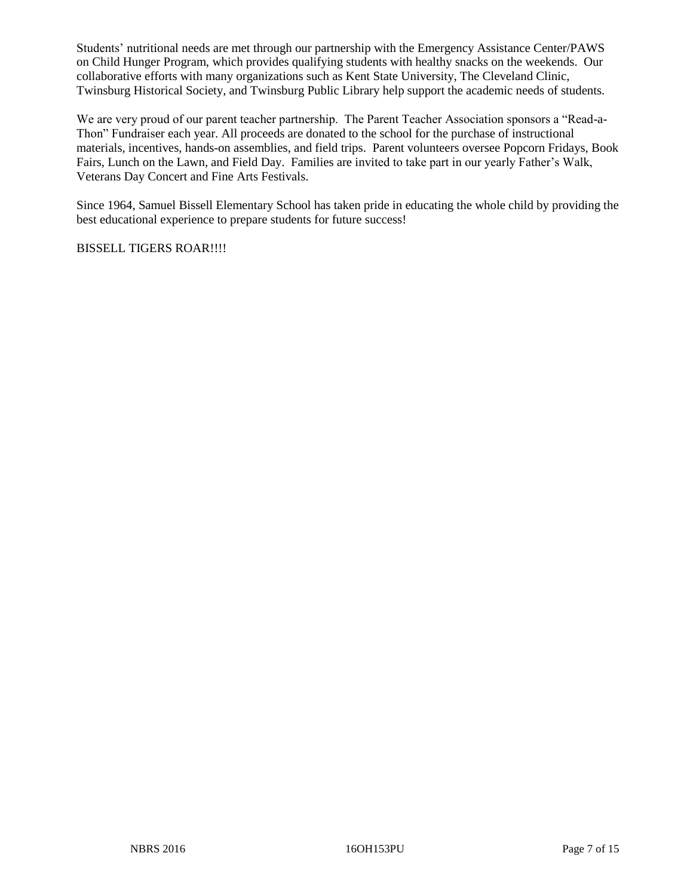Students' nutritional needs are met through our partnership with the Emergency Assistance Center/PAWS on Child Hunger Program, which provides qualifying students with healthy snacks on the weekends. Our collaborative efforts with many organizations such as Kent State University, The Cleveland Clinic, Twinsburg Historical Society, and Twinsburg Public Library help support the academic needs of students.

We are very proud of our parent teacher partnership. The Parent Teacher Association sponsors a "Read-a-Thon" Fundraiser each year. All proceeds are donated to the school for the purchase of instructional materials, incentives, hands-on assemblies, and field trips. Parent volunteers oversee Popcorn Fridays, Book Fairs, Lunch on the Lawn, and Field Day. Families are invited to take part in our yearly Father's Walk, Veterans Day Concert and Fine Arts Festivals.

Since 1964, Samuel Bissell Elementary School has taken pride in educating the whole child by providing the best educational experience to prepare students for future success!

BISSELL TIGERS ROAR!!!!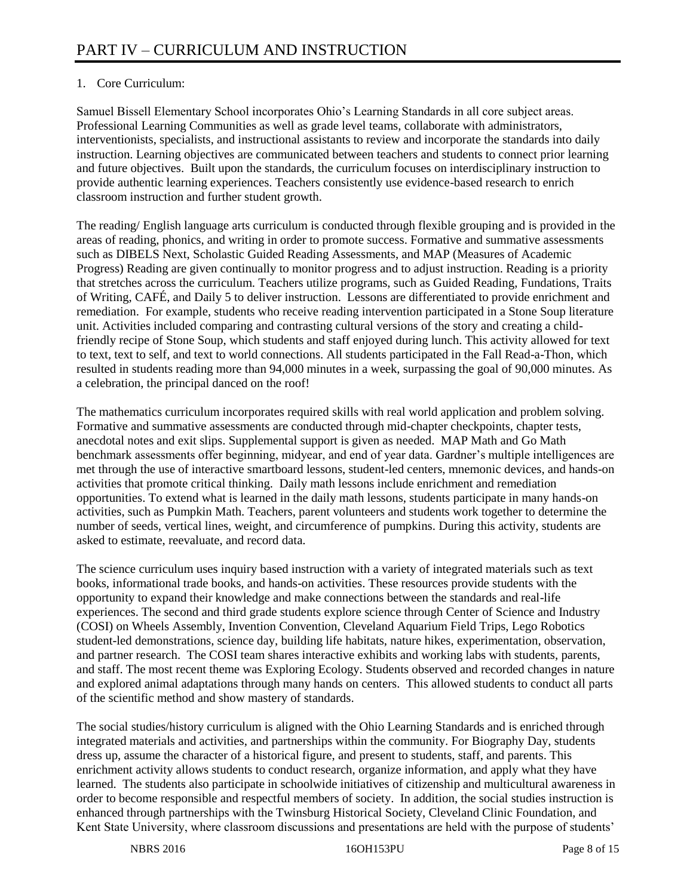# 1. Core Curriculum:

Samuel Bissell Elementary School incorporates Ohio's Learning Standards in all core subject areas. Professional Learning Communities as well as grade level teams, collaborate with administrators, interventionists, specialists, and instructional assistants to review and incorporate the standards into daily instruction. Learning objectives are communicated between teachers and students to connect prior learning and future objectives. Built upon the standards, the curriculum focuses on interdisciplinary instruction to provide authentic learning experiences. Teachers consistently use evidence-based research to enrich classroom instruction and further student growth.

The reading/ English language arts curriculum is conducted through flexible grouping and is provided in the areas of reading, phonics, and writing in order to promote success. Formative and summative assessments such as DIBELS Next, Scholastic Guided Reading Assessments, and MAP (Measures of Academic Progress) Reading are given continually to monitor progress and to adjust instruction. Reading is a priority that stretches across the curriculum. Teachers utilize programs, such as Guided Reading, Fundations, Traits of Writing, CAFÉ, and Daily 5 to deliver instruction. Lessons are differentiated to provide enrichment and remediation. For example, students who receive reading intervention participated in a Stone Soup literature unit. Activities included comparing and contrasting cultural versions of the story and creating a childfriendly recipe of Stone Soup, which students and staff enjoyed during lunch. This activity allowed for text to text, text to self, and text to world connections. All students participated in the Fall Read-a-Thon, which resulted in students reading more than 94,000 minutes in a week, surpassing the goal of 90,000 minutes. As a celebration, the principal danced on the roof!

The mathematics curriculum incorporates required skills with real world application and problem solving. Formative and summative assessments are conducted through mid-chapter checkpoints, chapter tests, anecdotal notes and exit slips. Supplemental support is given as needed. MAP Math and Go Math benchmark assessments offer beginning, midyear, and end of year data. Gardner's multiple intelligences are met through the use of interactive smartboard lessons, student-led centers, mnemonic devices, and hands-on activities that promote critical thinking. Daily math lessons include enrichment and remediation opportunities. To extend what is learned in the daily math lessons, students participate in many hands-on activities, such as Pumpkin Math. Teachers, parent volunteers and students work together to determine the number of seeds, vertical lines, weight, and circumference of pumpkins. During this activity, students are asked to estimate, reevaluate, and record data.

The science curriculum uses inquiry based instruction with a variety of integrated materials such as text books, informational trade books, and hands-on activities. These resources provide students with the opportunity to expand their knowledge and make connections between the standards and real-life experiences. The second and third grade students explore science through Center of Science and Industry (COSI) on Wheels Assembly, Invention Convention, Cleveland Aquarium Field Trips, Lego Robotics student-led demonstrations, science day, building life habitats, nature hikes, experimentation, observation, and partner research. The COSI team shares interactive exhibits and working labs with students, parents, and staff. The most recent theme was Exploring Ecology. Students observed and recorded changes in nature and explored animal adaptations through many hands on centers. This allowed students to conduct all parts of the scientific method and show mastery of standards.

The social studies/history curriculum is aligned with the Ohio Learning Standards and is enriched through integrated materials and activities, and partnerships within the community. For Biography Day, students dress up, assume the character of a historical figure, and present to students, staff, and parents. This enrichment activity allows students to conduct research, organize information, and apply what they have learned. The students also participate in schoolwide initiatives of citizenship and multicultural awareness in order to become responsible and respectful members of society. In addition, the social studies instruction is enhanced through partnerships with the Twinsburg Historical Society, Cleveland Clinic Foundation, and Kent State University, where classroom discussions and presentations are held with the purpose of students'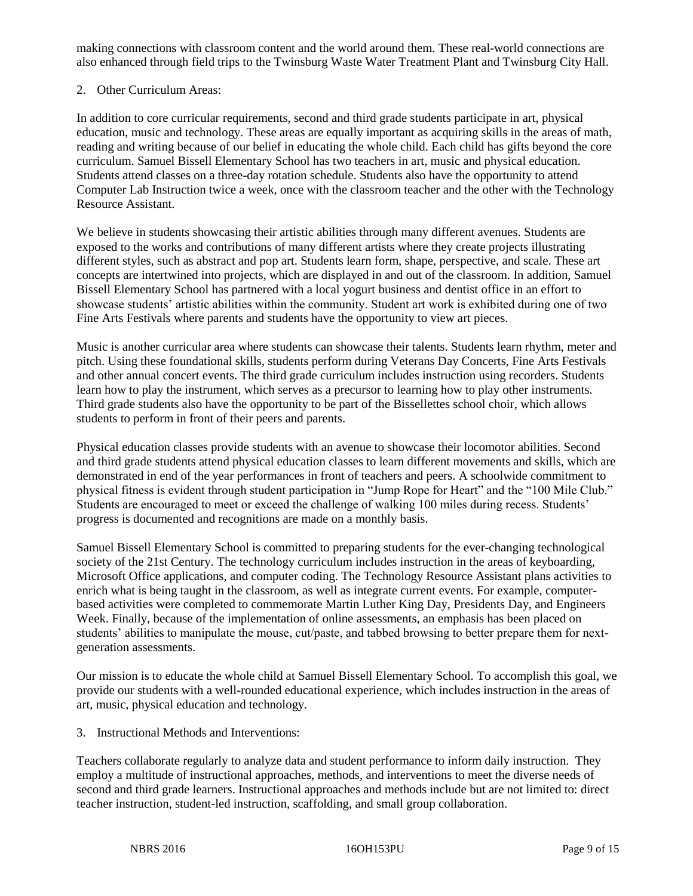making connections with classroom content and the world around them. These real-world connections are also enhanced through field trips to the Twinsburg Waste Water Treatment Plant and Twinsburg City Hall.

# 2. Other Curriculum Areas:

In addition to core curricular requirements, second and third grade students participate in art, physical education, music and technology. These areas are equally important as acquiring skills in the areas of math, reading and writing because of our belief in educating the whole child. Each child has gifts beyond the core curriculum. Samuel Bissell Elementary School has two teachers in art, music and physical education. Students attend classes on a three-day rotation schedule. Students also have the opportunity to attend Computer Lab Instruction twice a week, once with the classroom teacher and the other with the Technology Resource Assistant.

We believe in students showcasing their artistic abilities through many different avenues. Students are exposed to the works and contributions of many different artists where they create projects illustrating different styles, such as abstract and pop art. Students learn form, shape, perspective, and scale. These art concepts are intertwined into projects, which are displayed in and out of the classroom. In addition, Samuel Bissell Elementary School has partnered with a local yogurt business and dentist office in an effort to showcase students' artistic abilities within the community. Student art work is exhibited during one of two Fine Arts Festivals where parents and students have the opportunity to view art pieces.

Music is another curricular area where students can showcase their talents. Students learn rhythm, meter and pitch. Using these foundational skills, students perform during Veterans Day Concerts, Fine Arts Festivals and other annual concert events. The third grade curriculum includes instruction using recorders. Students learn how to play the instrument, which serves as a precursor to learning how to play other instruments. Third grade students also have the opportunity to be part of the Bissellettes school choir, which allows students to perform in front of their peers and parents.

Physical education classes provide students with an avenue to showcase their locomotor abilities. Second and third grade students attend physical education classes to learn different movements and skills, which are demonstrated in end of the year performances in front of teachers and peers. A schoolwide commitment to physical fitness is evident through student participation in "Jump Rope for Heart" and the "100 Mile Club." Students are encouraged to meet or exceed the challenge of walking 100 miles during recess. Students' progress is documented and recognitions are made on a monthly basis.

Samuel Bissell Elementary School is committed to preparing students for the ever-changing technological society of the 21st Century. The technology curriculum includes instruction in the areas of keyboarding, Microsoft Office applications, and computer coding. The Technology Resource Assistant plans activities to enrich what is being taught in the classroom, as well as integrate current events. For example, computerbased activities were completed to commemorate Martin Luther King Day, Presidents Day, and Engineers Week. Finally, because of the implementation of online assessments, an emphasis has been placed on students' abilities to manipulate the mouse, cut/paste, and tabbed browsing to better prepare them for nextgeneration assessments.

Our mission is to educate the whole child at Samuel Bissell Elementary School. To accomplish this goal, we provide our students with a well-rounded educational experience, which includes instruction in the areas of art, music, physical education and technology.

3. Instructional Methods and Interventions:

Teachers collaborate regularly to analyze data and student performance to inform daily instruction. They employ a multitude of instructional approaches, methods, and interventions to meet the diverse needs of second and third grade learners. Instructional approaches and methods include but are not limited to: direct teacher instruction, student-led instruction, scaffolding, and small group collaboration.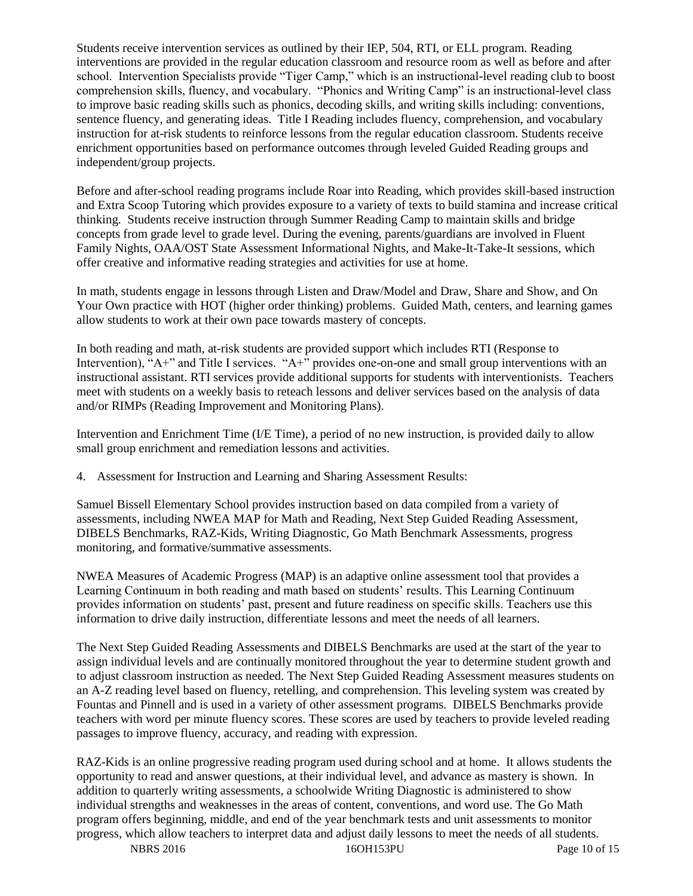Students receive intervention services as outlined by their IEP, 504, RTI, or ELL program. Reading interventions are provided in the regular education classroom and resource room as well as before and after school. Intervention Specialists provide "Tiger Camp," which is an instructional-level reading club to boost comprehension skills, fluency, and vocabulary. "Phonics and Writing Camp" is an instructional-level class to improve basic reading skills such as phonics, decoding skills, and writing skills including: conventions, sentence fluency, and generating ideas. Title I Reading includes fluency, comprehension, and vocabulary instruction for at-risk students to reinforce lessons from the regular education classroom. Students receive enrichment opportunities based on performance outcomes through leveled Guided Reading groups and independent/group projects.

Before and after-school reading programs include Roar into Reading, which provides skill-based instruction and Extra Scoop Tutoring which provides exposure to a variety of texts to build stamina and increase critical thinking. Students receive instruction through Summer Reading Camp to maintain skills and bridge concepts from grade level to grade level. During the evening, parents/guardians are involved in Fluent Family Nights, OAA/OST State Assessment Informational Nights, and Make-It-Take-It sessions, which offer creative and informative reading strategies and activities for use at home.

In math, students engage in lessons through Listen and Draw/Model and Draw, Share and Show, and On Your Own practice with HOT (higher order thinking) problems. Guided Math, centers, and learning games allow students to work at their own pace towards mastery of concepts.

In both reading and math, at-risk students are provided support which includes RTI (Response to Intervention), "A+" and Title I services. "A+" provides one-on-one and small group interventions with an instructional assistant. RTI services provide additional supports for students with interventionists. Teachers meet with students on a weekly basis to reteach lessons and deliver services based on the analysis of data and/or RIMPs (Reading Improvement and Monitoring Plans).

Intervention and Enrichment Time (I/E Time), a period of no new instruction, is provided daily to allow small group enrichment and remediation lessons and activities.

4. Assessment for Instruction and Learning and Sharing Assessment Results:

Samuel Bissell Elementary School provides instruction based on data compiled from a variety of assessments, including NWEA MAP for Math and Reading, Next Step Guided Reading Assessment, DIBELS Benchmarks, RAZ-Kids, Writing Diagnostic, Go Math Benchmark Assessments, progress monitoring, and formative/summative assessments.

NWEA Measures of Academic Progress (MAP) is an adaptive online assessment tool that provides a Learning Continuum in both reading and math based on students' results. This Learning Continuum provides information on students' past, present and future readiness on specific skills. Teachers use this information to drive daily instruction, differentiate lessons and meet the needs of all learners.

The Next Step Guided Reading Assessments and DIBELS Benchmarks are used at the start of the year to assign individual levels and are continually monitored throughout the year to determine student growth and to adjust classroom instruction as needed. The Next Step Guided Reading Assessment measures students on an A-Z reading level based on fluency, retelling, and comprehension. This leveling system was created by Fountas and Pinnell and is used in a variety of other assessment programs. DIBELS Benchmarks provide teachers with word per minute fluency scores. These scores are used by teachers to provide leveled reading passages to improve fluency, accuracy, and reading with expression.

RAZ-Kids is an online progressive reading program used during school and at home. It allows students the opportunity to read and answer questions, at their individual level, and advance as mastery is shown. In addition to quarterly writing assessments, a schoolwide Writing Diagnostic is administered to show individual strengths and weaknesses in the areas of content, conventions, and word use. The Go Math program offers beginning, middle, and end of the year benchmark tests and unit assessments to monitor progress, which allow teachers to interpret data and adjust daily lessons to meet the needs of all students.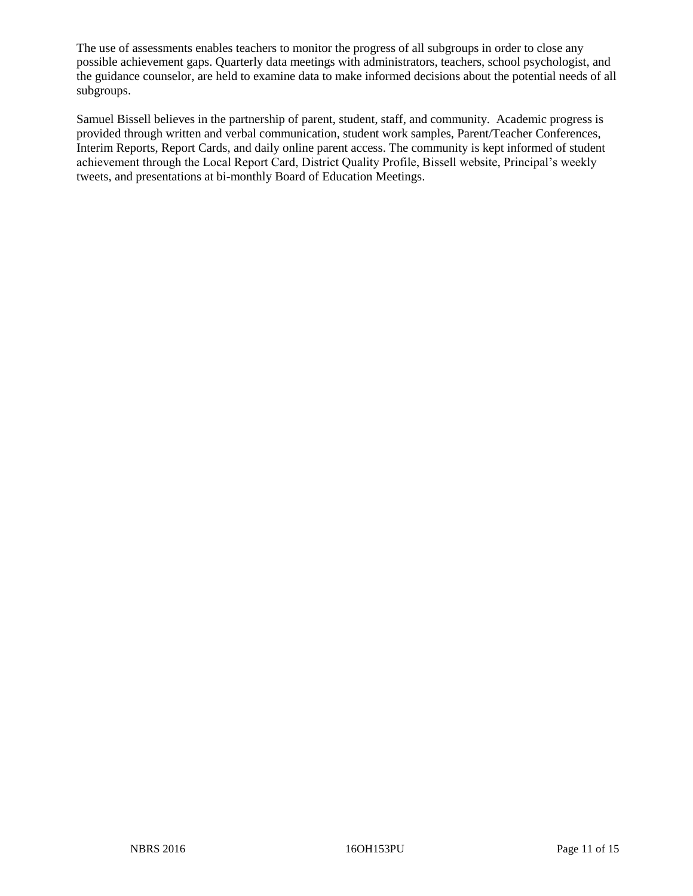The use of assessments enables teachers to monitor the progress of all subgroups in order to close any possible achievement gaps. Quarterly data meetings with administrators, teachers, school psychologist, and the guidance counselor, are held to examine data to make informed decisions about the potential needs of all subgroups.

Samuel Bissell believes in the partnership of parent, student, staff, and community. Academic progress is provided through written and verbal communication, student work samples, Parent/Teacher Conferences, Interim Reports, Report Cards, and daily online parent access. The community is kept informed of student achievement through the Local Report Card, District Quality Profile, Bissell website, Principal's weekly tweets, and presentations at bi-monthly Board of Education Meetings.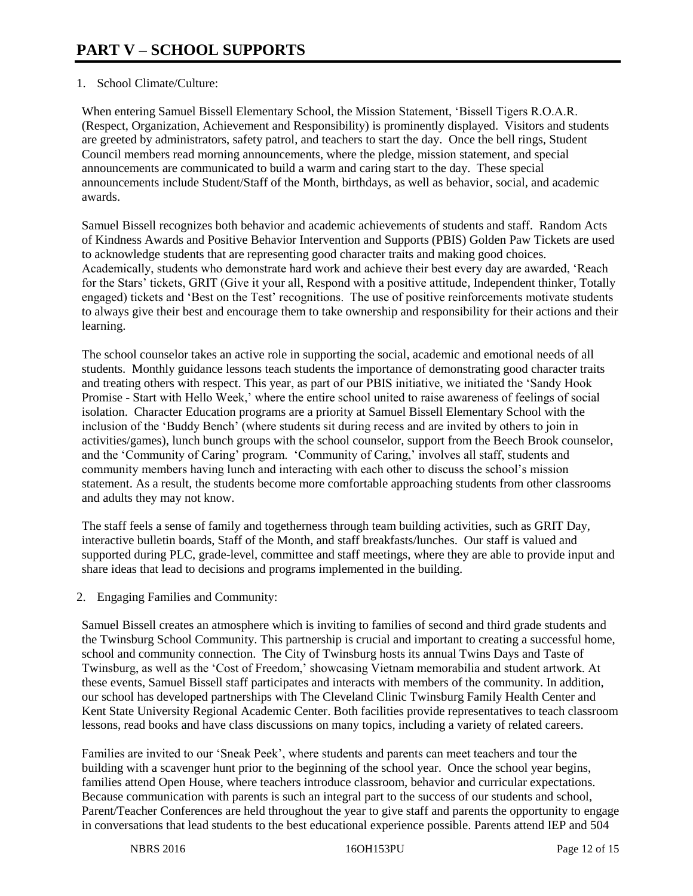# 1. School Climate/Culture:

When entering Samuel Bissell Elementary School, the Mission Statement, 'Bissell Tigers R.O.A.R. (Respect, Organization, Achievement and Responsibility) is prominently displayed. Visitors and students are greeted by administrators, safety patrol, and teachers to start the day. Once the bell rings, Student Council members read morning announcements, where the pledge, mission statement, and special announcements are communicated to build a warm and caring start to the day. These special announcements include Student/Staff of the Month, birthdays, as well as behavior, social, and academic awards.

Samuel Bissell recognizes both behavior and academic achievements of students and staff. Random Acts of Kindness Awards and Positive Behavior Intervention and Supports (PBIS) Golden Paw Tickets are used to acknowledge students that are representing good character traits and making good choices. Academically, students who demonstrate hard work and achieve their best every day are awarded, 'Reach for the Stars' tickets, GRIT (Give it your all, Respond with a positive attitude, Independent thinker, Totally engaged) tickets and 'Best on the Test' recognitions. The use of positive reinforcements motivate students to always give their best and encourage them to take ownership and responsibility for their actions and their learning.

The school counselor takes an active role in supporting the social, academic and emotional needs of all students. Monthly guidance lessons teach students the importance of demonstrating good character traits and treating others with respect. This year, as part of our PBIS initiative, we initiated the 'Sandy Hook Promise - Start with Hello Week,' where the entire school united to raise awareness of feelings of social isolation. Character Education programs are a priority at Samuel Bissell Elementary School with the inclusion of the 'Buddy Bench' (where students sit during recess and are invited by others to join in activities/games), lunch bunch groups with the school counselor, support from the Beech Brook counselor, and the 'Community of Caring' program. 'Community of Caring,' involves all staff, students and community members having lunch and interacting with each other to discuss the school's mission statement. As a result, the students become more comfortable approaching students from other classrooms and adults they may not know.

The staff feels a sense of family and togetherness through team building activities, such as GRIT Day, interactive bulletin boards, Staff of the Month, and staff breakfasts/lunches. Our staff is valued and supported during PLC, grade-level, committee and staff meetings, where they are able to provide input and share ideas that lead to decisions and programs implemented in the building.

2. Engaging Families and Community:

Samuel Bissell creates an atmosphere which is inviting to families of second and third grade students and the Twinsburg School Community. This partnership is crucial and important to creating a successful home, school and community connection. The City of Twinsburg hosts its annual Twins Days and Taste of Twinsburg, as well as the 'Cost of Freedom,' showcasing Vietnam memorabilia and student artwork. At these events, Samuel Bissell staff participates and interacts with members of the community. In addition, our school has developed partnerships with The Cleveland Clinic Twinsburg Family Health Center and Kent State University Regional Academic Center. Both facilities provide representatives to teach classroom lessons, read books and have class discussions on many topics, including a variety of related careers.

Families are invited to our 'Sneak Peek', where students and parents can meet teachers and tour the building with a scavenger hunt prior to the beginning of the school year. Once the school year begins, families attend Open House, where teachers introduce classroom, behavior and curricular expectations. Because communication with parents is such an integral part to the success of our students and school, Parent/Teacher Conferences are held throughout the year to give staff and parents the opportunity to engage in conversations that lead students to the best educational experience possible. Parents attend IEP and 504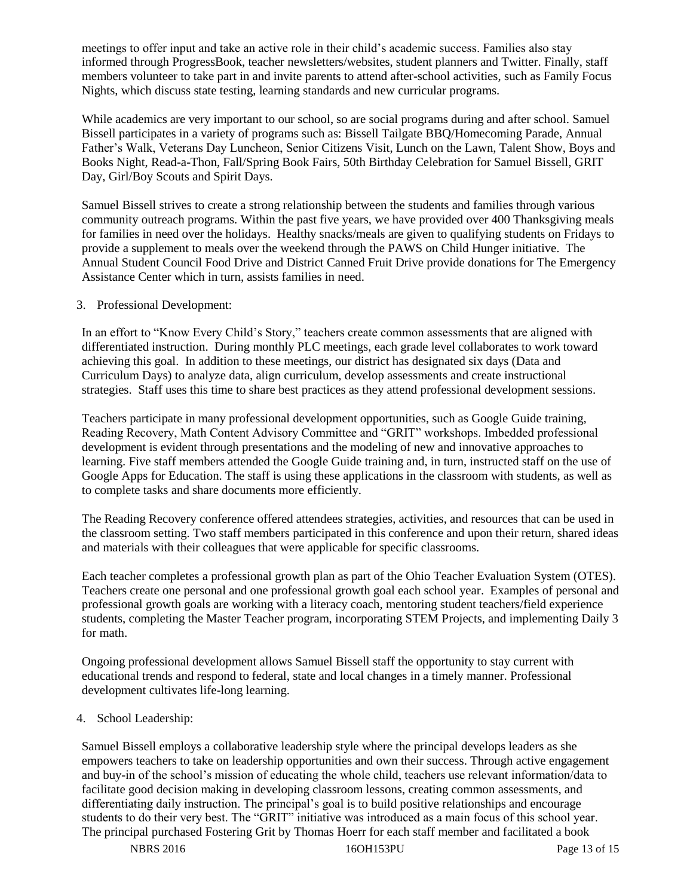meetings to offer input and take an active role in their child's academic success. Families also stay informed through ProgressBook, teacher newsletters/websites, student planners and Twitter. Finally, staff members volunteer to take part in and invite parents to attend after-school activities, such as Family Focus Nights, which discuss state testing, learning standards and new curricular programs.

While academics are very important to our school, so are social programs during and after school. Samuel Bissell participates in a variety of programs such as: Bissell Tailgate BBQ/Homecoming Parade, Annual Father's Walk, Veterans Day Luncheon, Senior Citizens Visit, Lunch on the Lawn, Talent Show, Boys and Books Night, Read-a-Thon, Fall/Spring Book Fairs, 50th Birthday Celebration for Samuel Bissell, GRIT Day, Girl/Boy Scouts and Spirit Days.

Samuel Bissell strives to create a strong relationship between the students and families through various community outreach programs. Within the past five years, we have provided over 400 Thanksgiving meals for families in need over the holidays. Healthy snacks/meals are given to qualifying students on Fridays to provide a supplement to meals over the weekend through the PAWS on Child Hunger initiative. The Annual Student Council Food Drive and District Canned Fruit Drive provide donations for The Emergency Assistance Center which in turn, assists families in need.

# 3. Professional Development:

In an effort to "Know Every Child's Story," teachers create common assessments that are aligned with differentiated instruction. During monthly PLC meetings, each grade level collaborates to work toward achieving this goal. In addition to these meetings, our district has designated six days (Data and Curriculum Days) to analyze data, align curriculum, develop assessments and create instructional strategies. Staff uses this time to share best practices as they attend professional development sessions.

Teachers participate in many professional development opportunities, such as Google Guide training, Reading Recovery, Math Content Advisory Committee and "GRIT" workshops. Imbedded professional development is evident through presentations and the modeling of new and innovative approaches to learning. Five staff members attended the Google Guide training and, in turn, instructed staff on the use of Google Apps for Education. The staff is using these applications in the classroom with students, as well as to complete tasks and share documents more efficiently.

The Reading Recovery conference offered attendees strategies, activities, and resources that can be used in the classroom setting. Two staff members participated in this conference and upon their return, shared ideas and materials with their colleagues that were applicable for specific classrooms.

Each teacher completes a professional growth plan as part of the Ohio Teacher Evaluation System (OTES). Teachers create one personal and one professional growth goal each school year. Examples of personal and professional growth goals are working with a literacy coach, mentoring student teachers/field experience students, completing the Master Teacher program, incorporating STEM Projects, and implementing Daily 3 for math.

Ongoing professional development allows Samuel Bissell staff the opportunity to stay current with educational trends and respond to federal, state and local changes in a timely manner. Professional development cultivates life-long learning.

# 4. School Leadership:

Samuel Bissell employs a collaborative leadership style where the principal develops leaders as she empowers teachers to take on leadership opportunities and own their success. Through active engagement and buy-in of the school's mission of educating the whole child, teachers use relevant information/data to facilitate good decision making in developing classroom lessons, creating common assessments, and differentiating daily instruction. The principal's goal is to build positive relationships and encourage students to do their very best. The "GRIT" initiative was introduced as a main focus of this school year. The principal purchased Fostering Grit by Thomas Hoerr for each staff member and facilitated a book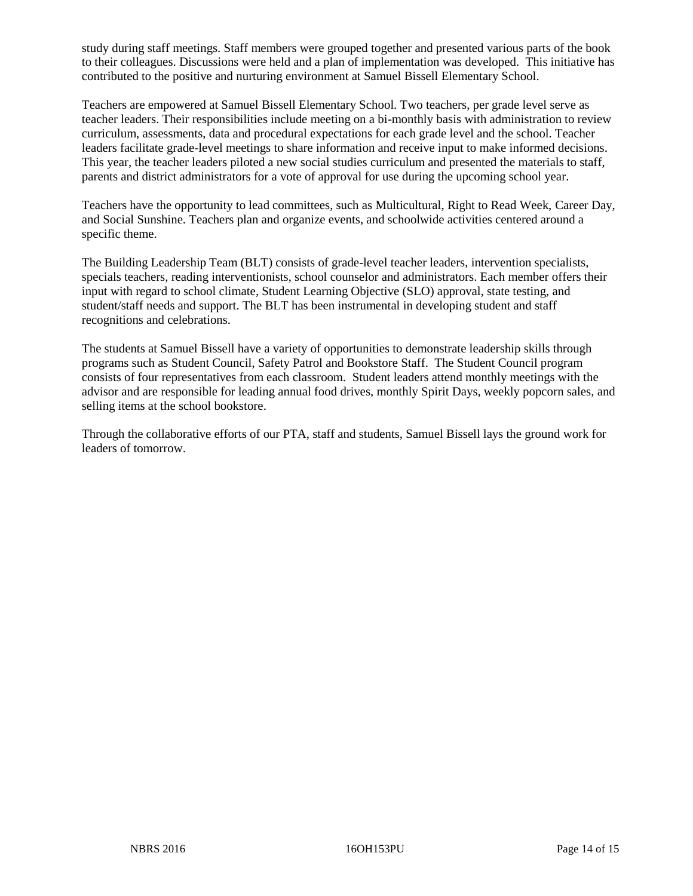study during staff meetings. Staff members were grouped together and presented various parts of the book to their colleagues. Discussions were held and a plan of implementation was developed. This initiative has contributed to the positive and nurturing environment at Samuel Bissell Elementary School.

Teachers are empowered at Samuel Bissell Elementary School. Two teachers, per grade level serve as teacher leaders. Their responsibilities include meeting on a bi-monthly basis with administration to review curriculum, assessments, data and procedural expectations for each grade level and the school. Teacher leaders facilitate grade-level meetings to share information and receive input to make informed decisions. This year, the teacher leaders piloted a new social studies curriculum and presented the materials to staff, parents and district administrators for a vote of approval for use during the upcoming school year.

Teachers have the opportunity to lead committees, such as Multicultural, Right to Read Week, Career Day, and Social Sunshine. Teachers plan and organize events, and schoolwide activities centered around a specific theme.

The Building Leadership Team (BLT) consists of grade-level teacher leaders, intervention specialists, specials teachers, reading interventionists, school counselor and administrators. Each member offers their input with regard to school climate, Student Learning Objective (SLO) approval, state testing, and student/staff needs and support. The BLT has been instrumental in developing student and staff recognitions and celebrations.

The students at Samuel Bissell have a variety of opportunities to demonstrate leadership skills through programs such as Student Council, Safety Patrol and Bookstore Staff. The Student Council program consists of four representatives from each classroom. Student leaders attend monthly meetings with the advisor and are responsible for leading annual food drives, monthly Spirit Days, weekly popcorn sales, and selling items at the school bookstore.

Through the collaborative efforts of our PTA, staff and students, Samuel Bissell lays the ground work for leaders of tomorrow.